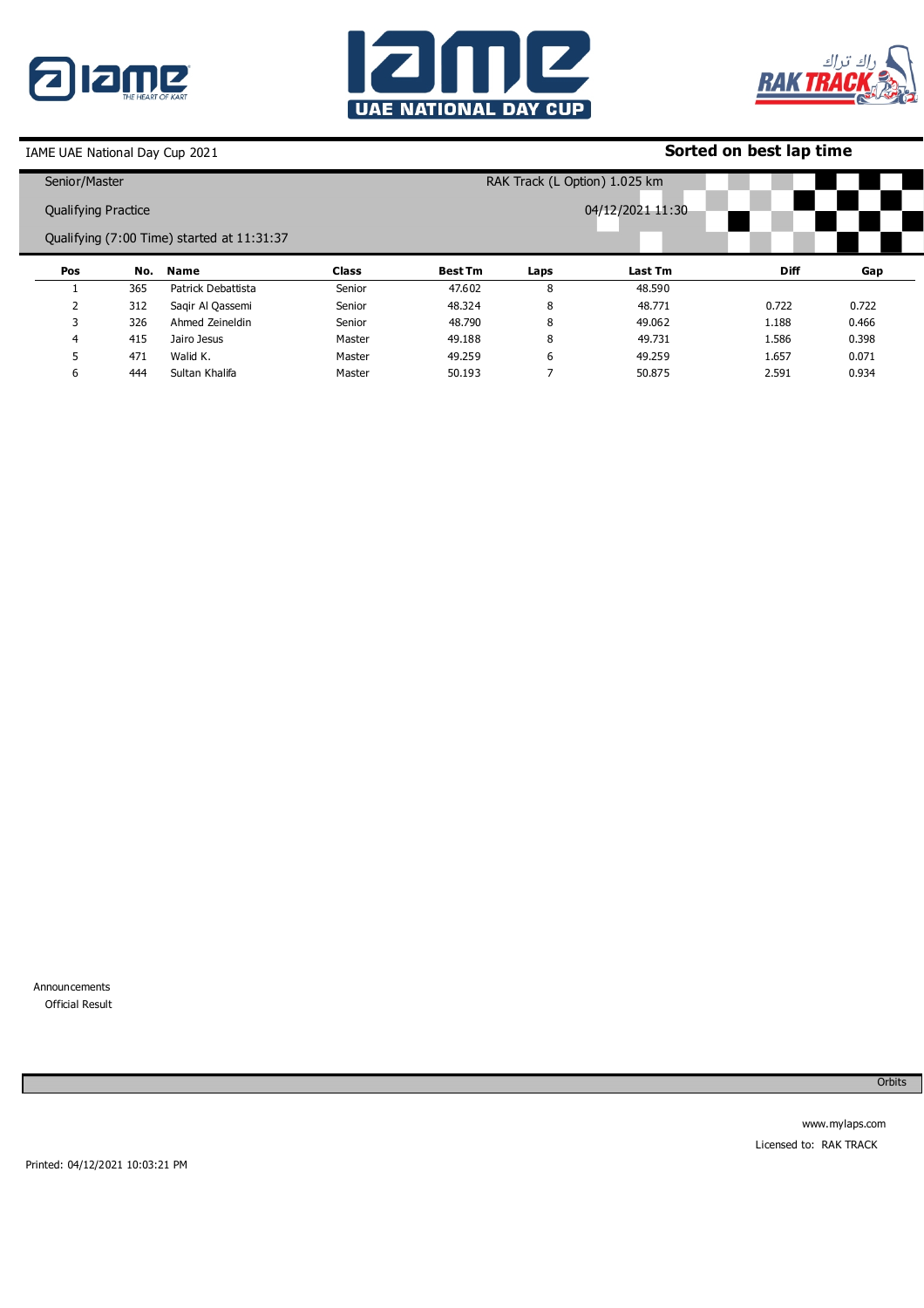





## **Sorted on best lap time**

| Senior/Master              |     |                                            |              | RAK Track (L Option) 1.025 km |      |                  |             |       |
|----------------------------|-----|--------------------------------------------|--------------|-------------------------------|------|------------------|-------------|-------|
| <b>Qualifying Practice</b> |     |                                            |              |                               |      | 04/12/2021 11:30 |             |       |
|                            |     | Qualifying (7:00 Time) started at 11:31:37 |              |                               |      |                  |             |       |
| Pos                        | No. | Name                                       | <b>Class</b> | <b>Best Tm</b>                | Laps | Last Tm          | <b>Diff</b> | Gap   |
|                            | 365 | Patrick Debattista                         | Senior       | 47.602                        | 8    | 48.590           |             |       |
|                            | 312 | Sagir Al Qassemi                           | Senior       | 48.324                        | 8    | 48.771           | 0.722       | 0.722 |
| 3                          | 326 | Ahmed Zeineldin                            | Senior       | 48.790                        | 8    | 49.062           | 1.188       | 0.466 |
| 4                          | 415 | Jairo Jesus                                | Master       | 49.188                        | 8    | 49.731           | 1.586       | 0.398 |
|                            | 471 | Walid K.                                   | Master       | 49.259                        | 6    | 49.259           | 1.657       | 0.071 |
| 6                          | 444 | Sultan Khalifa                             | Master       | 50.193                        |      | 50.875           | 2.591       | 0.934 |

Announcements 0 Official Result

Orbits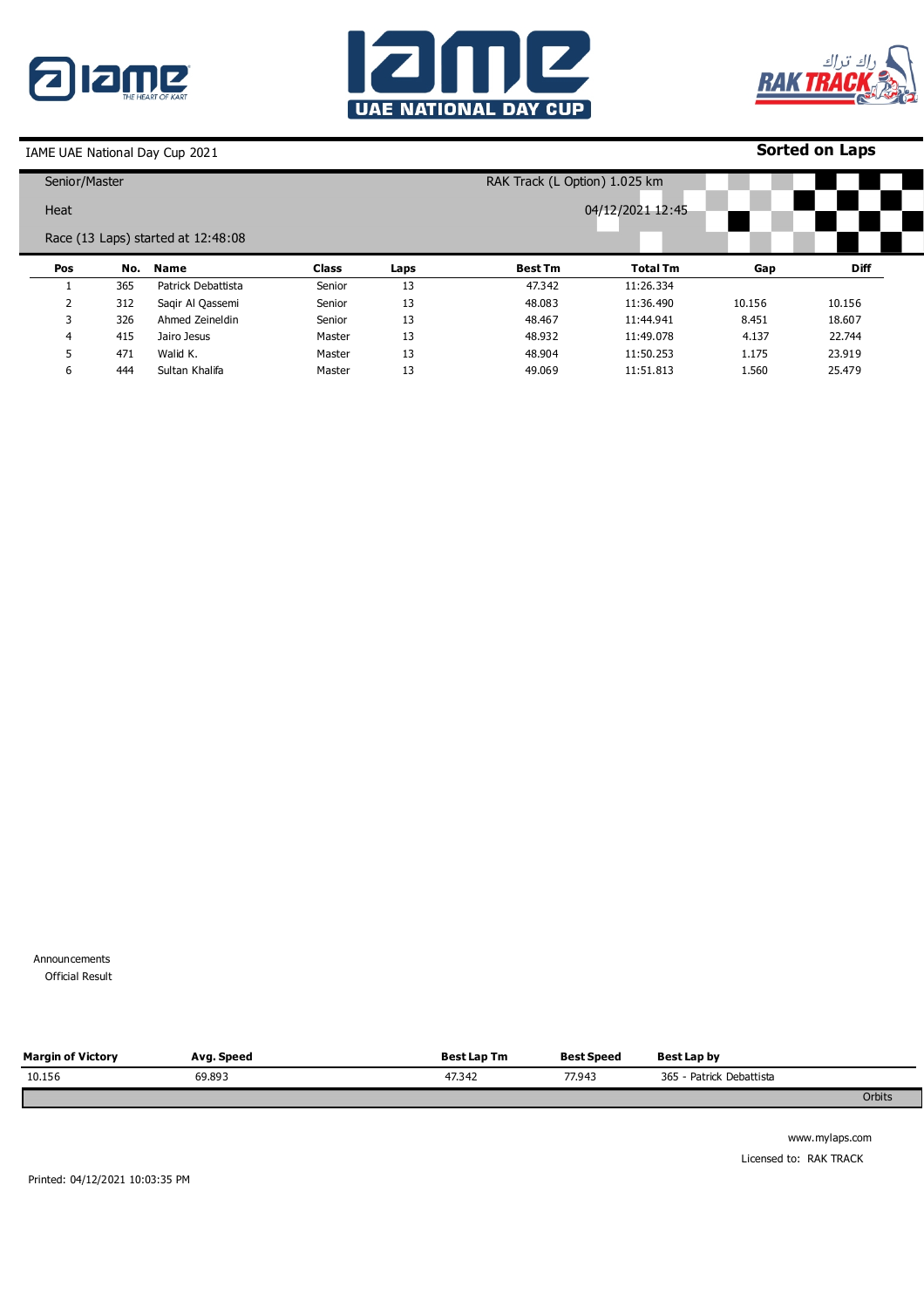





**Sorted on Laps**

| Senior/Master |     |                                    |              |      | RAK Track (L Option) 1.025 km |                 |        |             |  |  |
|---------------|-----|------------------------------------|--------------|------|-------------------------------|-----------------|--------|-------------|--|--|
| Heat          |     |                                    |              |      | 04/12/2021 12:45              |                 |        |             |  |  |
|               |     | Race (13 Laps) started at 12:48:08 |              |      |                               |                 |        |             |  |  |
| Pos           | No. | Name                               | <b>Class</b> | Laps | <b>Best Tm</b>                | <b>Total Tm</b> | Gap    | <b>Diff</b> |  |  |
|               | 365 | Patrick Debattista                 | Senior       | 13   | 47.342                        | 11:26.334       |        |             |  |  |
| 2             | 312 | Sagir Al Qassemi                   | Senior       | 13   | 48.083                        | 11:36.490       | 10.156 | 10.156      |  |  |
| 3             | 326 | Ahmed Zeineldin                    | Senior       | 13   | 48.467                        | 11:44.941       | 8.451  | 18.607      |  |  |
| 4             | 415 | Jairo Jesus                        | Master       | 13   | 48.932                        | 11:49.078       | 4.137  | 22.744      |  |  |
| 5             | 471 | Walid K.                           | Master       | 13   | 48.904                        | 11:50.253       | 1.175  | 23.919      |  |  |
| 6             | 444 | Sultan Khalifa                     | Master       | 13   | 49.069                        | 11:51.813       | 1.560  | 25.479      |  |  |

Announcements 0 Official Result

| <b>Margin of Victory</b> | Avg. Speed | <b>Best Lap Tm</b> | <b>Best Speed</b> | Best Lap by              |        |
|--------------------------|------------|--------------------|-------------------|--------------------------|--------|
| 10.156                   | 69.893     | 47.342             | 77.943            | 365 - Patrick Debattista |        |
|                          |            |                    |                   |                          | Orbits |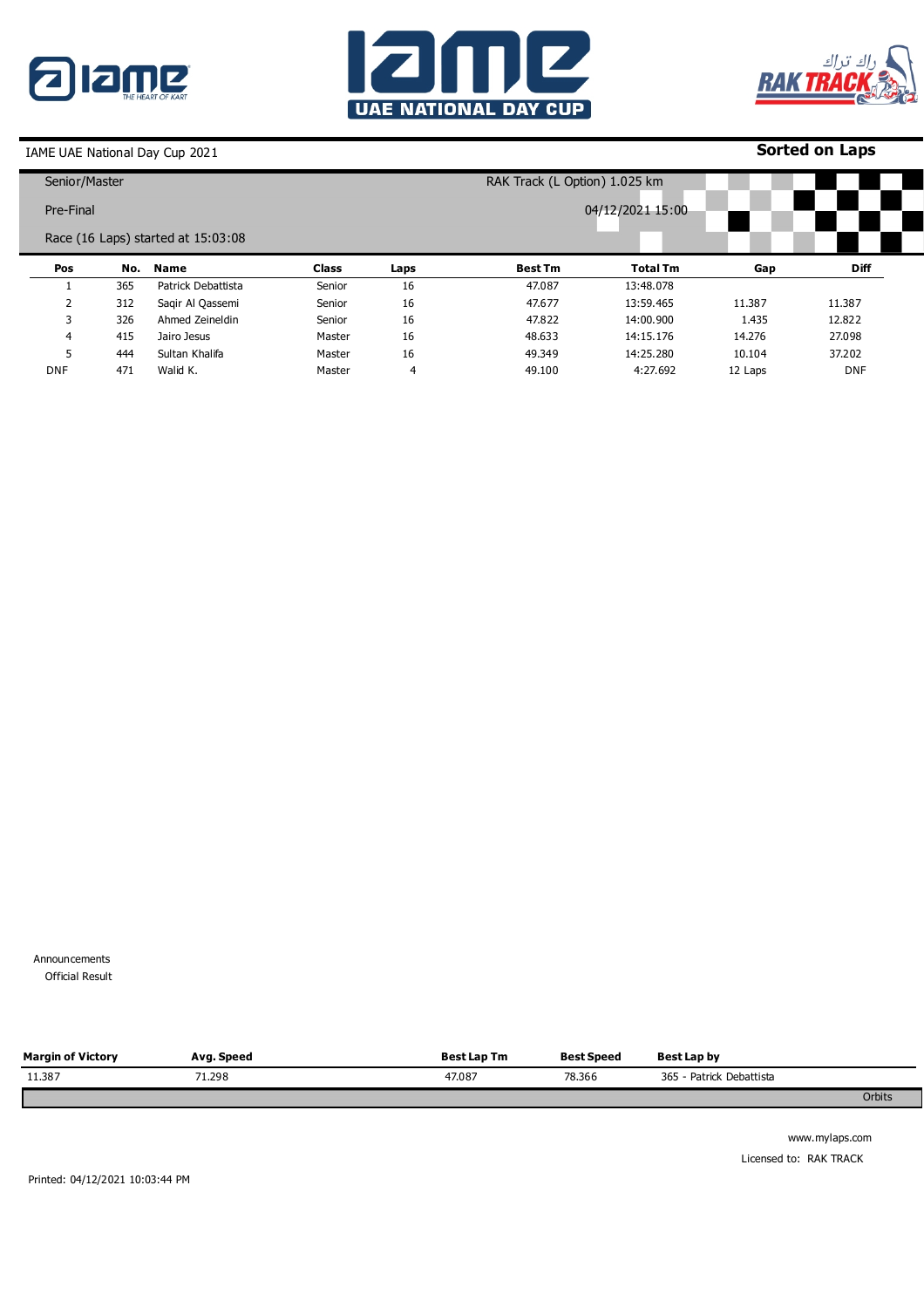





## **Sorted on Laps**

| Senior/Master  |     |                                    |              |      | RAK Track (L Option) 1.025 km |                 |         |             |  |  |
|----------------|-----|------------------------------------|--------------|------|-------------------------------|-----------------|---------|-------------|--|--|
| Pre-Final      |     |                                    |              |      | 04/12/2021 15:00              |                 |         |             |  |  |
|                |     | Race (16 Laps) started at 15:03:08 |              |      |                               |                 |         |             |  |  |
| Pos            | No. | <b>Name</b>                        | <b>Class</b> | Laps | <b>Best Tm</b>                | <b>Total Tm</b> | Gap     | <b>Diff</b> |  |  |
|                | 365 | Patrick Debattista                 | Senior       | 16   | 47.087                        | 13:48.078       |         |             |  |  |
| $\overline{2}$ | 312 | Sagir Al Qassemi                   | Senior       | 16   | 47.677                        | 13:59.465       | 11.387  | 11.387      |  |  |
| 3              | 326 | Ahmed Zeineldin                    | Senior       | 16   | 47,822                        | 14:00.900       | 1.435   | 12,822      |  |  |
| 4              | 415 | Jairo Jesus                        | Master       | 16   | 48.633                        | 14:15.176       | 14.276  | 27.098      |  |  |
| 5              | 444 | Sultan Khalifa                     | Master       | 16   | 49.349                        | 14:25.280       | 10.104  | 37,202      |  |  |
| <b>DNF</b>     | 471 | Walid K.                           | Master       | 4    | 49.100                        | 4:27.692        | 12 Laps | <b>DNF</b>  |  |  |

Announcements **Official Result** 

| <b>Margin of Victory</b> | Avg. Speed | <b>Best Lap Tm</b> | <b>Best Speed</b> | Best Lap by              |        |
|--------------------------|------------|--------------------|-------------------|--------------------------|--------|
| 11.387                   | 71.298     | 47.087             | 78.366            | 365 - Patrick Debattista |        |
|                          |            |                    |                   |                          | Orbits |